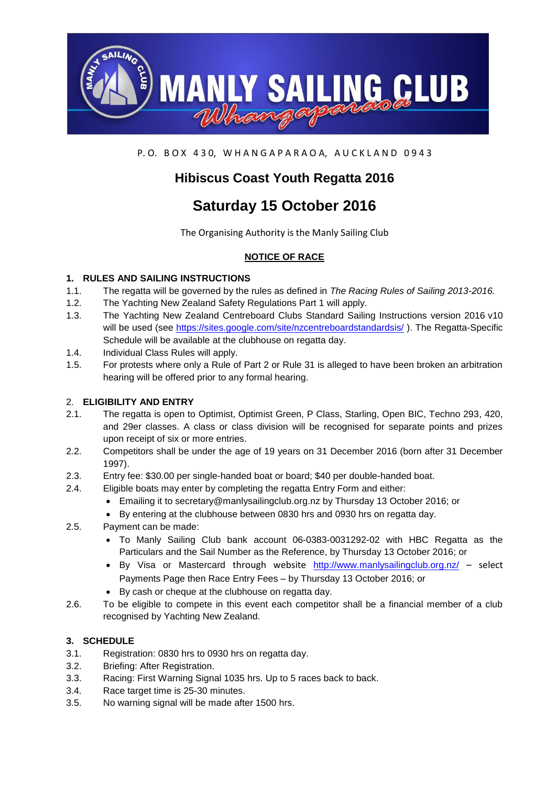

P.O. BOX 430, WHANGAPARAOA, AUCKLAND 0943

## **Hibiscus Coast Youth Regatta 2016**

# **Saturday 15 October 2016**

The Organising Authority is the Manly Sailing Club

## **NOTICE OF RACE**

## **1. RULES AND SAILING INSTRUCTIONS**

- 1.1. The regatta will be governed by the rules as defined in *The Racing Rules of Sailing 2013-2016.*
- 1.2. The Yachting New Zealand Safety Regulations Part 1 will apply.
- 1.3. The Yachting New Zealand Centreboard Clubs Standard Sailing Instructions version 2016 v10 will be used (see<https://sites.google.com/site/nzcentreboardstandardsis/> ). The Regatta-Specific Schedule will be available at the clubhouse on regatta day.
- 1.4. Individual Class Rules will apply.
- 1.5. For protests where only a Rule of Part 2 or Rule 31 is alleged to have been broken an arbitration hearing will be offered prior to any formal hearing.

## 2. **ELIGIBILITY AND ENTRY**

- 2.1. The regatta is open to Optimist, Optimist Green, P Class, Starling, Open BIC, Techno 293, 420, and 29er classes. A class or class division will be recognised for separate points and prizes upon receipt of six or more entries.
- 2.2. Competitors shall be under the age of 19 years on 31 December 2016 (born after 31 December 1997).
- 2.3. Entry fee: \$30.00 per single-handed boat or board; \$40 per double-handed boat.
- 2.4. Eligible boats may enter by completing the regatta Entry Form and either:
	- Emailing it to secretary@manlysailingclub.org.nz by Thursday 13 October 2016; or
	- By entering at the clubhouse between 0830 hrs and 0930 hrs on regatta day.
- 2.5. Payment can be made:
	- To Manly Sailing Club bank account 06-0383-0031292-02 with HBC Regatta as the Particulars and the Sail Number as the Reference, by Thursday 13 October 2016; or
	- $\bullet$  By Visa or Mastercard through website <http://www.manlysailingclub.org.nz/> select Payments Page then Race Entry Fees – by Thursday 13 October 2016; or
	- By cash or cheque at the clubhouse on regatta day.
- 2.6. To be eligible to compete in this event each competitor shall be a financial member of a club recognised by Yachting New Zealand.

#### **3. SCHEDULE**

- 3.1. Registration: 0830 hrs to 0930 hrs on regatta day.
- 3.2. Briefing: After Registration.
- 3.3. Racing: First Warning Signal 1035 hrs. Up to 5 races back to back.
- 3.4. Race target time is 25-30 minutes.
- 3.5. No warning signal will be made after 1500 hrs.